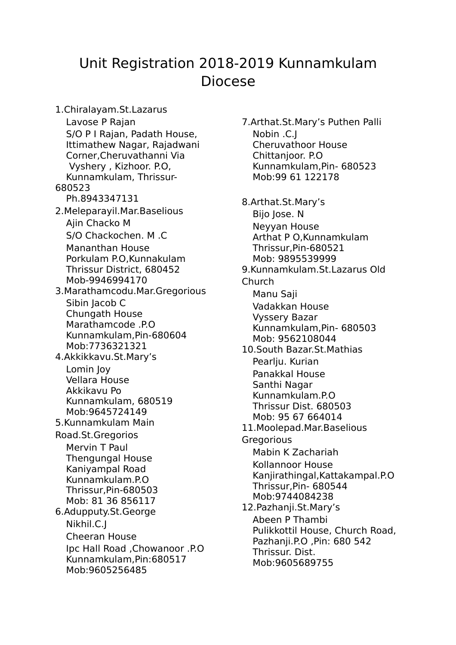## Unit Registration 2018-2019 Kunnamkulam Diocese

1.Chiralayam.St.Lazarus Lavose P Rajan S/O P I Rajan, Padath House, Ittimathew Nagar, Rajadwani Corner,Cheruvathanni Via Vyshery , Kizhoor. P.O, Kunnamkulam, Thrissur-680523 Ph.8943347131 2.Meleparayil.Mar.Baselious Ajin Chacko M S/O Chackochen. M .C Mananthan House Porkulam P.O,Kunnakulam Thrissur District, 680452 Mob-9946994170 3.Marathamcodu.Mar.Gregorious Sibin Jacob C Chungath House Marathamcode .P.O Kunnamkulam,Pin-680604 Mob:7736321321 4.Akkikkavu.St.Mary's Lomin Joy Vellara House Akkikavu Po Kunnamkulam, 680519 Mob:9645724149 5.Kunnamkulam Main Road.St.Gregorios Mervin T Paul Thengungal House Kaniyampal Road Kunnamkulam.P.O Thrissur,Pin-680503 Mob: 81 36 856117 6.Adupputy.St.George Nikhil.C.J Cheeran House Ipc Hall Road ,Chowanoor .P.O Kunnamkulam,Pin:680517 Mob:9605256485

7.Arthat.St.Mary's Puthen Palli Nobin .C.J Cheruvathoor House Chittanjoor. P.O Kunnamkulam,Pin- 680523 Mob:99 61 122178 8.Arthat.St.Mary's Bijo Jose. N Neyyan House Arthat P O,Kunnamkulam Thrissur,Pin-680521 Mob: 9895539999 9.Kunnamkulam.St.Lazarus Old Church Manu Saji Vadakkan House Vyssery Bazar Kunnamkulam,Pin- 680503 Mob: 9562108044 10.South Bazar.St.Mathias Pearlju. Kurian Panakkal House Santhi Nagar Kunnamkulam.P.O Thrissur Dist. 680503 Mob: 95 67 664014 11.Moolepad.Mar.Baselious **Gregorious** Mabin K Zachariah Kollannoor House Kanjirathingal,Kattakampal.P.O Thrissur,Pin- 680544 Mob:9744084238 12.Pazhanji.St.Mary's Abeen P Thambi Pulikkottil House, Church Road, Pazhanji.P.O ,Pin: 680 542 Thrissur. Dist. Mob:9605689755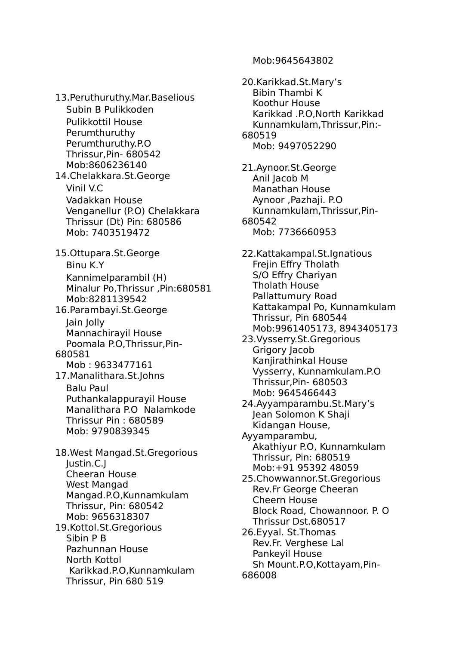13.Peruthuruthy.Mar.Baselious Subin B Pulikkoden Pulikkottil House Perumthuruthy Perumthuruthy.P.O Thrissur,Pin- 680542 Mob:8606236140 14.Chelakkara.St.George Vinil V.C Vadakkan House Venganellur (P.O) Chelakkara Thrissur (Dt) Pin: 680586 Mob: 7403519472 15.Ottupara.St.George Binu K.Y Kannimelparambil (H) Minalur Po,Thrissur ,Pin:680581 Mob:8281139542 16.Parambayi.St.George Jain Jolly Mannachirayil House Poomala P.O,Thrissur,Pin-680581 Mob : 9633477161 17.Manalithara.St.Johns Balu Paul Puthankalappurayil House Manalithara P.O Nalamkode Thrissur Pin : 680589 Mob: 9790839345 18.West Mangad.St.Gregorious Justin.C.J Cheeran House West Mangad Mangad.P.O,Kunnamkulam Thrissur, Pin: 680542 Mob: 9656318307 19.Kottol.St.Gregorious Sibin P B Pazhunnan House North Kottol Karikkad.P.O,Kunnamkulam Thrissur, Pin 680 519

20.Karikkad.St.Mary's Bibin Thambi K Koothur House Karikkad .P.O,North Karikkad Kunnamkulam,Thrissur,Pin:- 680519 Mob: 9497052290 21.Aynoor.St.George Anil Jacob M Manathan House Aynoor ,Pazhaji. P.O Kunnamkulam,Thrissur,Pin-680542 Mob: 7736660953 22.Kattakampal.St.Ignatious Frejin Effry Tholath S/O Effry Chariyan Tholath House Pallattumury Road Kattakampal Po, Kunnamkulam Thrissur, Pin 680544 Mob:9961405173, 8943405173 23.Vysserry.St.Gregorious Grigory Jacob Kanjirathinkal House Vysserry, Kunnamkulam.P.O Thrissur,Pin- 680503 Mob: 9645466443 24.Ayyamparambu.St.Mary's Jean Solomon K Shaji Kidangan House, Ayyamparambu, Akathiyur P.O, Kunnamkulam Thrissur, Pin: 680519 Mob:+91 95392 48059 25.Chowwannor.St.Gregorious Rev.Fr George Cheeran Cheern House Block Road, Chowannoor. P. O Thrissur Dst.680517 26.Eyyal. St.Thomas Rev.Fr. Verghese Lal Pankeyil House Sh Mount.P.O,Kottayam,Pin-686008

Mob:9645643802